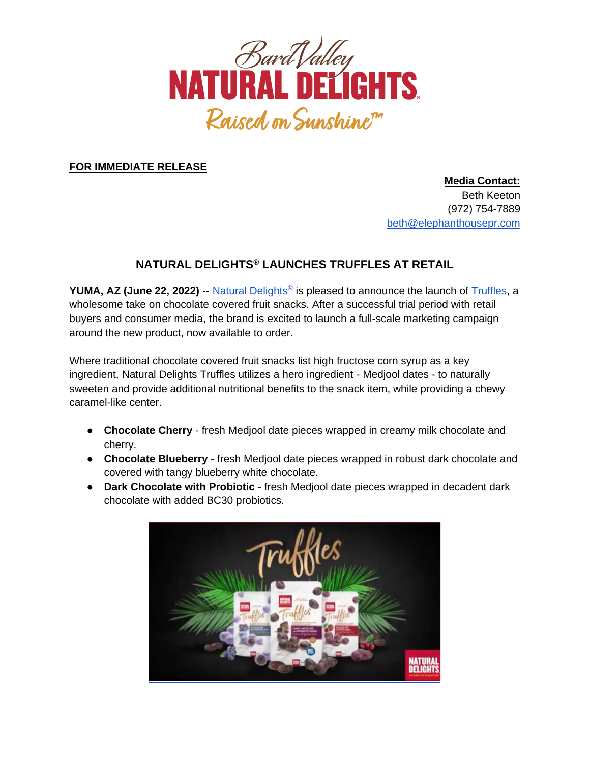

**FOR IMMEDIATE RELEASE**

**Media Contact:** Beth Keeton (972) 754-7889 [beth@elephanthousepr.com](mailto:beth@elephanthousepr.com)

## **NATURAL DELIGHTS® LAUNCHES TRUFFLES AT RETAIL**

**YUMA, AZ (June 22, 2022)** -- [Natural Delights](https://naturaldelights.com/)[®](https://naturaldelights.com/) is pleased to announce the launch of [Truffles,](https://www.naturaldelights.com/truffles) a wholesome take on chocolate covered fruit snacks. After a successful trial period with retail buyers and consumer media, the brand is excited to launch a full-scale marketing campaign around the new product, now available to order.

Where traditional chocolate covered fruit snacks list high fructose corn syrup as a key ingredient, Natural Delights Truffles utilizes a hero ingredient - Medjool dates - to naturally sweeten and provide additional nutritional benefits to the snack item, while providing a chewy caramel-like center.

- **Chocolate Cherry** fresh Medjool date pieces wrapped in creamy milk chocolate and cherry.
- **Chocolate Blueberry** fresh Medjool date pieces wrapped in robust dark chocolate and covered with tangy blueberry white chocolate.
- **Dark Chocolate with Probiotic** fresh Medjool date pieces wrapped in decadent dark chocolate with added BC30 probiotics.